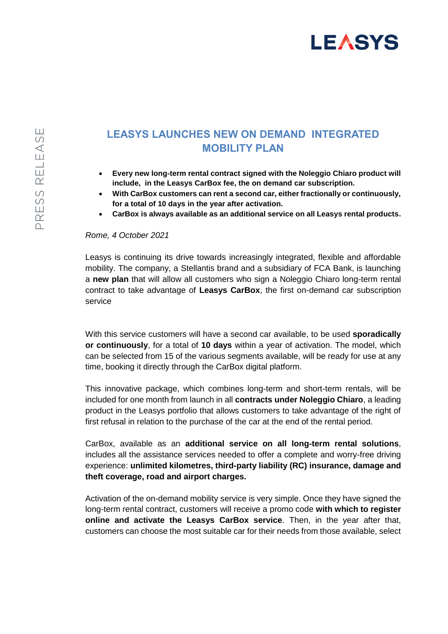

## **LEASYS LAUNCHES NEW ON DEMAND INTEGRATED MOBILITY PLAN**

- **Every new long-term rental contract signed with the Noleggio Chiaro product will include, in the Leasys CarBox fee, the on demand car subscription.**
- **With CarBox customers can rent a second car, either fractionally or continuously, for a total of 10 days in the year after activation.**
- **CarBox is always available as an additional service on all Leasys rental products.**

## *Rome, 4 October 2021*

Leasys is continuing its drive towards increasingly integrated, flexible and affordable mobility. The company, a Stellantis brand and a subsidiary of FCA Bank, is launching a **new plan** that will allow all customers who sign a Noleggio Chiaro long-term rental contract to take advantage of **Leasys CarBox**, the first on-demand car subscription service

With this service customers will have a second car available, to be used **sporadically or continuously**, for a total of **10 days** within a year of activation. The model, which can be selected from 15 of the various segments available, will be ready for use at any time, booking it directly through the CarBox digital platform.

This innovative package, which combines long-term and short-term rentals, will be included for one month from launch in all **contracts under Noleggio Chiaro**, a leading product in the Leasys portfolio that allows customers to take advantage of the right of first refusal in relation to the purchase of the car at the end of the rental period.

CarBox, available as an **additional service on all long-term rental solutions**, includes all the assistance services needed to offer a complete and worry-free driving experience: **unlimited kilometres, third-party liability (RC) insurance, damage and theft coverage, road and airport charges.**

Activation of the on-demand mobility service is very simple. Once they have signed the long-term rental contract, customers will receive a promo code **with which to register online and activate the Leasys CarBox service**. Then, in the year after that, customers can choose the most suitable car for their needs from those available, select